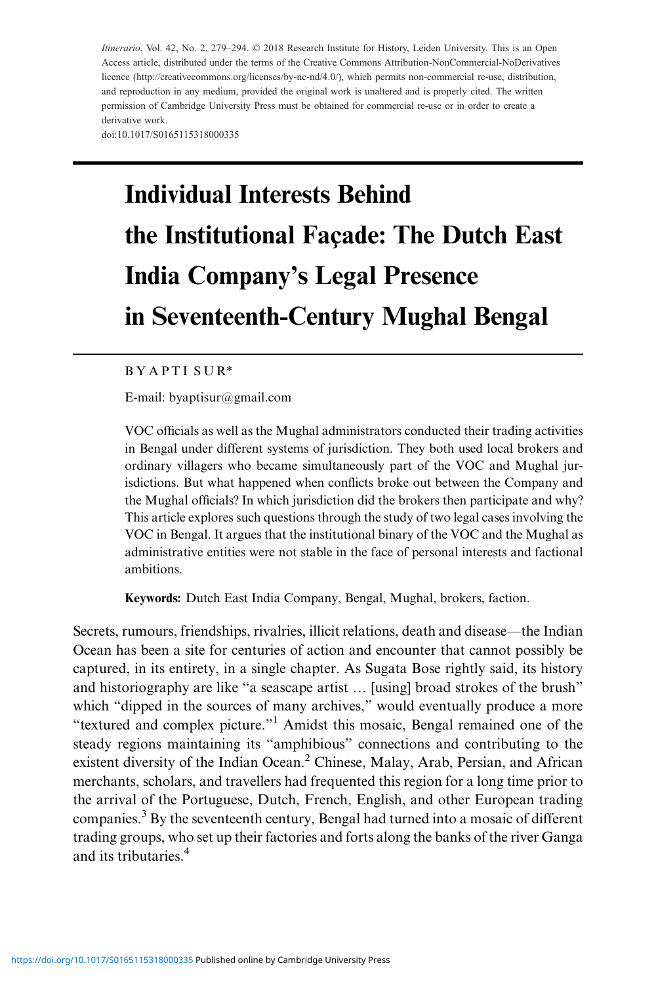Itinerario, Vol. 42, No. 2, 279–294. © 2018 Research Institute for History, Leiden University. This is an Open Access ar[ticle, distributed under the term](https://doi.org/10.1017/S0165115318000335)s of the Creative Commons Attribution-NonCommercial-NoDerivatives licence (http://creativecommons.org/licenses/by-nc-nd/4.0/), which permits non-commercial re-use, distribution, and reproduction in any medium, provided the original work is unaltered and is properly cited. The written permission of Cambridge University Press must be obtained for commercial re-use or in order to create a derivative work.

### doi:10.1017/S0165115318000335

# Individual Interests Behind the Institutional Façade: The Dutch East India Company's Legal Presence in Seventeenth-Century Mughal Bengal

# B Y A P [T](mailto:byaptisur@gmail.com) [I](mailto:byaptisur@gmail.com) [S](mailto:byaptisur@gmail.com) [U](mailto:byaptisur@gmail.com) [R\\*](mailto:byaptisur@gmail.com)

E-mail: byaptisur@gmail.com

VOC officials as well as the Mughal administrators conducted their trading activities in Bengal under different systems of jurisdiction. They both used local brokers and ordinary villagers who became simultaneously part of the VOC and Mughal jurisdictions. But what happened when conflicts broke out between the Company and the Mughal officials? In which jurisdiction did the brokers then participate and why? This article explores such questions through the study of two legal cases involving the VOC in Bengal. It argues that the institutional binary of the VOC and the Mughal as administrative entities were not stable in the face of personal interests and factional ambitions.

Keywords: Dutch East India Company, Bengal, Mughal, brokers, faction.

Secrets, rumours, friendships, rivalries, illicit relations, death and disease—the Indian Ocean has been a site for centuries of action and encounter that cannot possibly be captured, in its entirety, in a single chapter. As Sugata Bose rightly said, its history and historiography are like "a seascape artist … [using] broad strokes of the brush" which "dipped in the sources of many archives," would eventually produce a more "textured and complex picture."<sup>1</sup> Amidst this mosaic, Bengal remained one of the steady regions maintaining its "amphibious" connections and contributing to the existent diversity of the Indian Ocean.<sup>2</sup> Chinese, Malay, Arab, Persian, and African merchants, scholars, and travellers had frequented this region for a long time prior to the arrival of the Portuguese, Dutch, French, English, and other European trading companies. $3$  By the seventeenth century, Bengal had turned into a mosaic of different trading groups, who set up their factories and forts along the banks of the river Ganga and its tributaries.<sup>4</sup>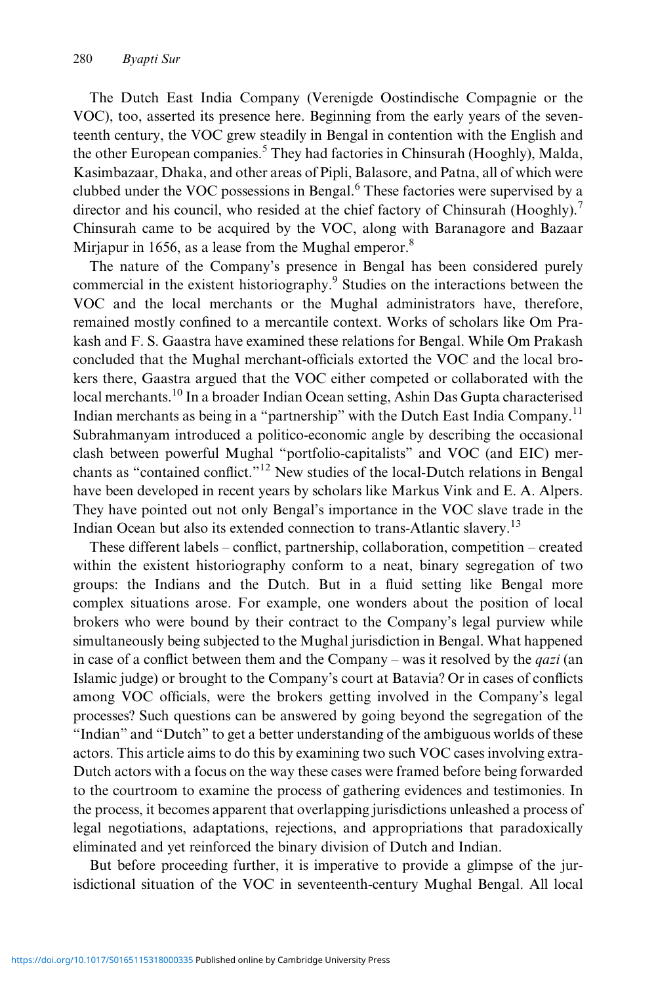The Dutch East India Company (Verenigde Oostindische Compagnie or the VOC), too, asserted its presence here. Beginning from the early years of the seventeenth century, the VOC grew steadily in Bengal in contention with the English and the other European companies.<sup>5</sup> They had factories in Chinsurah (Hooghly), Malda, Kasimbazaar, Dhaka, and other areas of Pipli, Balasore, and Patna, all of which were clubbed under the VOC possessions in Bengal.<sup>6</sup> These factories were supervised by a director and his council, who resided at the chief factory of Chinsurah (Hooghly).<sup>7</sup> Chinsurah came to be acquired by the VOC, along with Baranagore and Bazaar Mirjapur in 1656, as a lease from the Mughal emperor. $8$ 

The nature of the Company's presence in Bengal has been considered purely commercial in the existent historiography.<sup>9</sup> Studies on the interactions between the VOC and the local merchants or the Mughal administrators have, therefore, remained mostly confined to a mercantile context. Works of scholars like Om Prakash and F. S. Gaastra have examined these relations for Bengal. While Om Prakash concluded that the Mughal merchant-officials extorted the VOC and the local brokers there, Gaastra argued that the VOC either competed or collaborated with the local merchants.<sup>10</sup> In a broader Indian Ocean setting, Ashin Das Gupta characterised Indian merchants as being in a "partnership" with the Dutch East India Company.<sup>11</sup> Subrahmanyam introduced a politico-economic angle by describing the occasional clash between powerful Mughal "portfolio-capitalists" and VOC (and EIC) merchants as "contained conflict."<sup>12</sup> New studies of the local-Dutch relations in Bengal have been developed in recent years by scholars like Markus Vink and E. A. Alpers. They have pointed out not only Bengal's importance in the VOC slave trade in the Indian Ocean but also its extended connection to trans-Atlantic slavery.<sup>13</sup>

These different labels – conflict, partnership, collaboration, competition – created within the existent historiography conform to a neat, binary segregation of two groups: the Indians and the Dutch. But in a fluid setting like Bengal more complex situations arose. For example, one wonders about the position of local brokers who were bound by their contract to the Company's legal purview while simultaneously being subjected to the Mughal jurisdiction in Bengal. What happened in case of a conflict between them and the Company – was it resolved by the *qazi* (an Islamic judge) or brought to the Company's court at Batavia? Or in cases of conflicts among VOC officials, were the brokers getting involved in the Company's legal processes? Such questions can be answered by going beyond the segregation of the "Indian" and "Dutch" to get a better understanding of the ambiguous worlds of these actors. This article aims to do this by examining two such VOC cases involving extra-Dutch actors with a focus on the way these cases were framed before being forwarded to the courtroom to examine the process of gathering evidences and testimonies. In the process, it becomes apparent that overlapping jurisdictions unleashed a process of legal negotiations, adaptations, rejections, and appropriations that paradoxically eliminated and yet reinforced the binary division of Dutch and Indian.

But before proceeding further, it is imperative to provide a glimpse of the jurisdictional situation of the VOC in seventeenth-century Mughal Bengal. All local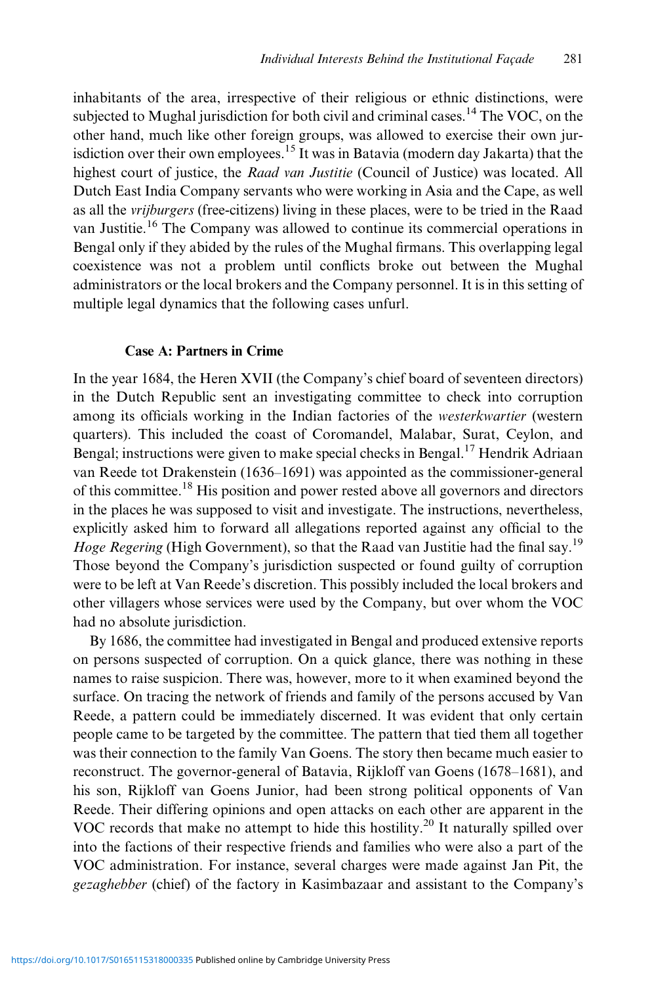inhabitants of the area, irrespective of their religious or ethnic distinctions, were subjected to Mughal jurisdiction for both civil and criminal cases.<sup>14</sup> The VOC, on the other hand, much like other foreign groups, was allowed to exercise their own jurisdiction over their own employees.<sup>15</sup> It was in Batavia (modern day Jakarta) that the highest court of justice, the Raad van Justitie (Council of Justice) was located. All Dutch East India Company servants who were working in Asia and the Cape, as well as all the vrijburgers (free-citizens) living in these places, were to be tried in the Raad van Justitie.<sup>16</sup> The Company was allowed to continue its commercial operations in Bengal only if they abided by the rules of the Mughal firmans. This overlapping legal coexistence was not a problem until conflicts broke out between the Mughal administrators or the local brokers and the Company personnel. It is in this setting of multiple legal dynamics that the following cases unfurl.

# Case A: Partners in Crime

In the year 1684, the Heren XVII (the Company's chief board of seventeen directors) in the Dutch Republic sent an investigating committee to check into corruption among its officials working in the Indian factories of the westerkwartier (western quarters). This included the coast of Coromandel, Malabar, Surat, Ceylon, and Bengal; instructions were given to make special checks in Bengal.<sup>17</sup> Hendrik Adriaan van Reede tot Drakenstein (1636–1691) was appointed as the commissioner-general of this committee.<sup>18</sup> His position and power rested above all governors and directors in the places he was supposed to visit and investigate. The instructions, nevertheless, explicitly asked him to forward all allegations reported against any official to the Hoge Regering (High Government), so that the Raad van Justitie had the final say.<sup>19</sup> Those beyond the Company's jurisdiction suspected or found guilty of corruption were to be left at Van Reede's discretion. This possibly included the local brokers and other villagers whose services were used by the Company, but over whom the VOC had no absolute jurisdiction.

By 1686, the committee had investigated in Bengal and produced extensive reports on persons suspected of corruption. On a quick glance, there was nothing in these names to raise suspicion. There was, however, more to it when examined beyond the surface. On tracing the network of friends and family of the persons accused by Van Reede, a pattern could be immediately discerned. It was evident that only certain people came to be targeted by the committee. The pattern that tied them all together was their connection to the family Van Goens. The story then became much easier to reconstruct. The governor-general of Batavia, Rijkloff van Goens (1678–1681), and his son, Rijkloff van Goens Junior, had been strong political opponents of Van Reede. Their differing opinions and open attacks on each other are apparent in the VOC records that make no attempt to hide this hostility.<sup>20</sup> It naturally spilled over into the factions of their respective friends and families who were also a part of the VOC administration. For instance, several charges were made against Jan Pit, the gezaghebber (chief) of the factory in Kasimbazaar and assistant to the Company's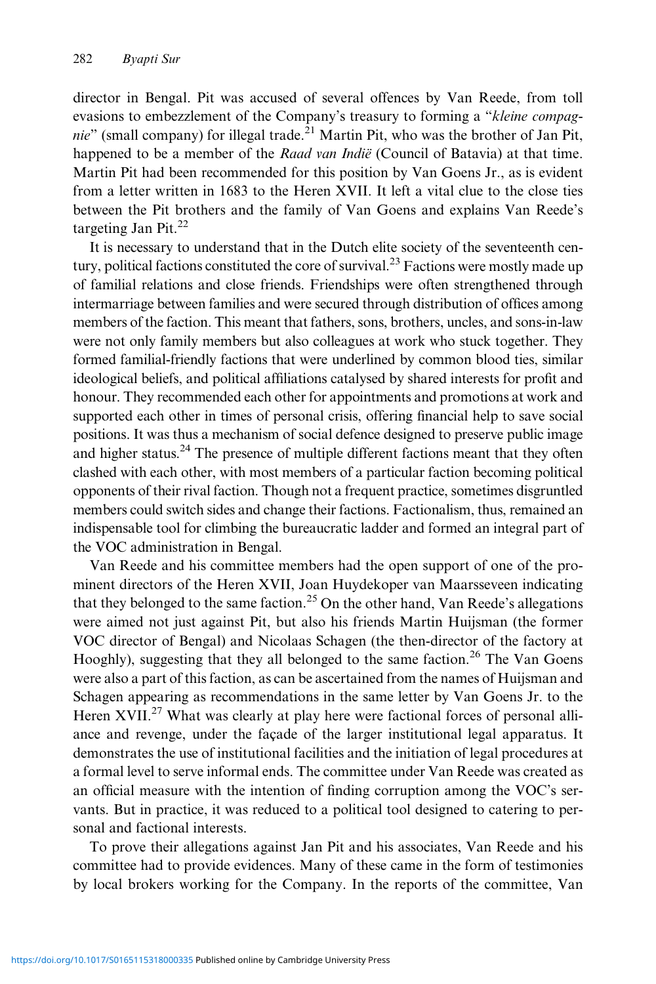director in Bengal. Pit was accused of several offences by Van Reede, from toll evasions to embezzlement of the Company's treasury to forming a "kleine compagnie" (small company) for illegal trade.<sup>21</sup> Martin Pit, who was the brother of Jan Pit, happened to be a member of the Raad van Indië (Council of Batavia) at that time. Martin Pit had been recommended for this position by Van Goens Jr., as is evident from a letter written in 1683 to the Heren XVII. It left a vital clue to the close ties between the Pit brothers and the family of Van Goens and explains Van Reede's targeting Jan Pit. $^{22}$ 

It is necessary to understand that in the Dutch elite society of the seventeenth century, political factions constituted the core of survival.<sup>23</sup> Factions were mostly made up of familial relations and close friends. Friendships were often strengthened through intermarriage between families and were secured through distribution of offices among members of the faction. This meant that fathers, sons, brothers, uncles, and sons-in-law were not only family members but also colleagues at work who stuck together. They formed familial-friendly factions that were underlined by common blood ties, similar ideological beliefs, and political affiliations catalysed by shared interests for profit and honour. They recommended each other for appointments and promotions at work and supported each other in times of personal crisis, offering financial help to save social positions. It was thus a mechanism of social defence designed to preserve public image and higher status.<sup>24</sup> The presence of multiple different factions meant that they often clashed with each other, with most members of a particular faction becoming political opponents of their rival faction. Though not a frequent practice, sometimes disgruntled members could switch sides and change their factions. Factionalism, thus, remained an indispensable tool for climbing the bureaucratic ladder and formed an integral part of the VOC administration in Bengal.

Van Reede and his committee members had the open support of one of the prominent directors of the Heren XVII, Joan Huydekoper van Maarsseveen indicating that they belonged to the same faction.<sup>25</sup> On the other hand, Van Reede's allegations were aimed not just against Pit, but also his friends Martin Huijsman (the former VOC director of Bengal) and Nicolaas Schagen (the then-director of the factory at Hooghly), suggesting that they all belonged to the same faction.<sup>26</sup> The Van Goens were also a part of this faction, as can be ascertained from the names of Huijsman and Schagen appearing as recommendations in the same letter by Van Goens Jr. to the Heren XVII.<sup>27</sup> What was clearly at play here were factional forces of personal alliance and revenge, under the façade of the larger institutional legal apparatus. It demonstrates the use of institutional facilities and the initiation of legal procedures at a formal level to serve informal ends. The committee under Van Reede was created as an official measure with the intention of finding corruption among the VOC's servants. But in practice, it was reduced to a political tool designed to catering to personal and factional interests.

To prove their allegations against Jan Pit and his associates, Van Reede and his committee had to provide evidences. Many of these came in the form of testimonies by local brokers working for the Company. In the reports of the committee, Van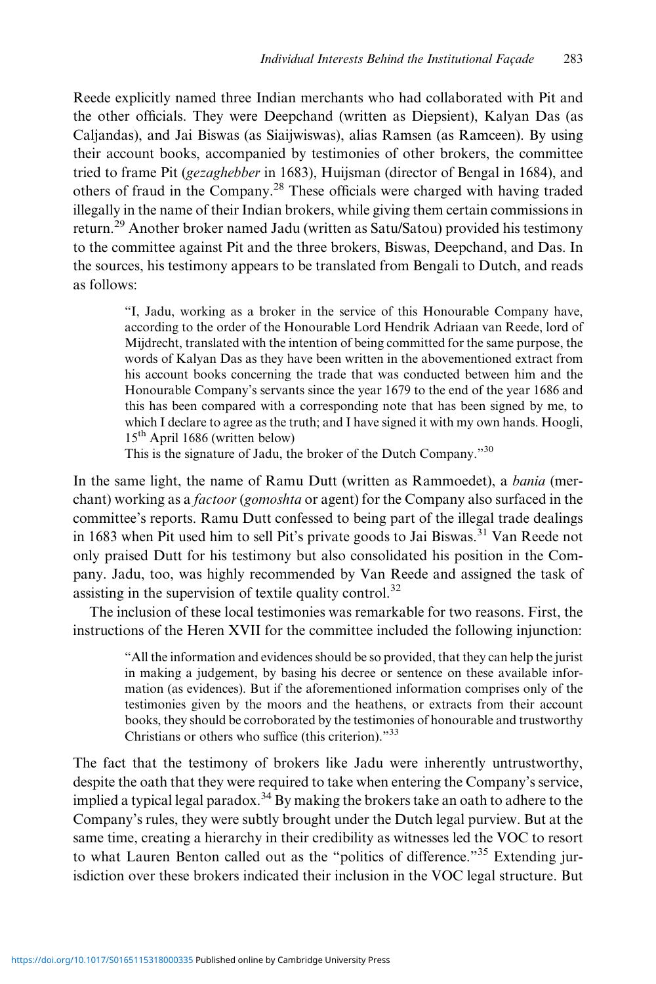Reede explicitly named three Indian merchants who had collaborated with Pit and the other officials. They were Deepchand (written as Diepsient), Kalyan Das (as Caljandas), and Jai Biswas (as Siaijwiswas), alias Ramsen (as Ramceen). By using their account books, accompanied by testimonies of other brokers, the committee tried to frame Pit (gezaghebber in 1683), Huijsman (director of Bengal in 1684), and others of fraud in the Company.<sup>28</sup> These officials were charged with having traded illegally in the name of their Indian brokers, while giving them certain commissions in return.<sup>29</sup> Another broker named Jadu (written as Satu/Satou) provided his testimony to the committee against Pit and the three brokers, Biswas, Deepchand, and Das. In the sources, his testimony appears to be translated from Bengali to Dutch, and reads as follows:

> "I, Jadu, working as a broker in the service of this Honourable Company have, according to the order of the Honourable Lord Hendrik Adriaan van Reede, lord of Mijdrecht, translated with the intention of being committed for the same purpose, the words of Kalyan Das as they have been written in the abovementioned extract from his account books concerning the trade that was conducted between him and the Honourable Company's servants since the year 1679 to the end of the year 1686 and this has been compared with a corresponding note that has been signed by me, to which I declare to agree as the truth; and I have signed it with my own hands. Hoogli, 15th April 1686 (written below)

This is the signature of Jadu, the broker of the Dutch Company."<sup>30</sup>

In the same light, the name of Ramu Dutt (written as Rammoedet), a bania (merchant) working as a *factoor* (*gomoshta* or agent) for the Company also surfaced in the committee's reports. Ramu Dutt confessed to being part of the illegal trade dealings in 1683 when Pit used him to sell Pit's private goods to Jai Biswas.<sup>31</sup> Van Reede not only praised Dutt for his testimony but also consolidated his position in the Company. Jadu, too, was highly recommended by Van Reede and assigned the task of assisting in the supervision of textile quality control.<sup>32</sup>

The inclusion of these local testimonies was remarkable for two reasons. First, the instructions of the Heren XVII for the committee included the following injunction:

> "All the information and evidences should be so provided, that they can help the jurist in making a judgement, by basing his decree or sentence on these available information (as evidences). But if the aforementioned information comprises only of the testimonies given by the moors and the heathens, or extracts from their account books, they should be corroborated by the testimonies of honourable and trustworthy Christians or others who suffice (this criterion)."<sup>33</sup>

The fact that the testimony of brokers like Jadu were inherently untrustworthy, despite the oath that they were required to take when entering the Company's service, implied a typical legal paradox.<sup>34</sup> By making the brokers take an oath to adhere to the Company's rules, they were subtly brought under the Dutch legal purview. But at the same time, creating a hierarchy in their credibility as witnesses led the VOC to resort to what Lauren Benton called out as the "politics of difference."<sup>35</sup> Extending jurisdiction over these brokers indicated their inclusion in the VOC legal structure. But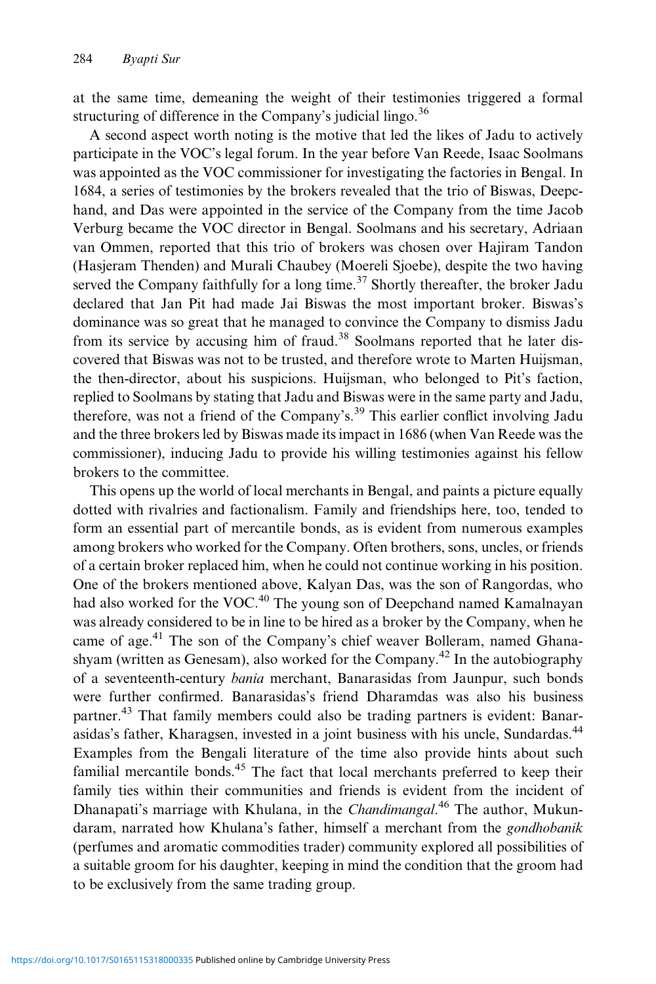at the same time, demeaning the weight of their testimonies triggered a formal structuring of difference in the Company's judicial lingo. $36$ 

A second aspect worth noting is the motive that led the likes of Jadu to actively participate in the VOC's legal forum. In the year before Van Reede, Isaac Soolmans was appointed as the VOC commissioner for investigating the factories in Bengal. In 1684, a series of testimonies by the brokers revealed that the trio of Biswas, Deepchand, and Das were appointed in the service of the Company from the time Jacob Verburg became the VOC director in Bengal. Soolmans and his secretary, Adriaan van Ommen, reported that this trio of brokers was chosen over Hajiram Tandon (Hasjeram Thenden) and Murali Chaubey (Moereli Sjoebe), despite the two having served the Company faithfully for a long time.<sup>37</sup> Shortly thereafter, the broker Jadu declared that Jan Pit had made Jai Biswas the most important broker. Biswas's dominance was so great that he managed to convince the Company to dismiss Jadu from its service by accusing him of fraud.<sup>38</sup> Soolmans reported that he later discovered that Biswas was not to be trusted, and therefore wrote to Marten Huijsman, the then-director, about his suspicions. Huijsman, who belonged to Pit's faction, replied to Soolmans by stating that Jadu and Biswas were in the same party and Jadu, therefore, was not a friend of the Company's.<sup>39</sup> This earlier conflict involving Jadu and the three brokers led by Biswas made its impact in 1686 (when Van Reede was the commissioner), inducing Jadu to provide his willing testimonies against his fellow brokers to the committee.

This opens up the world of local merchants in Bengal, and paints a picture equally dotted with rivalries and factionalism. Family and friendships here, too, tended to form an essential part of mercantile bonds, as is evident from numerous examples among brokers who worked for the Company. Often brothers, sons, uncles, or friends of a certain broker replaced him, when he could not continue working in his position. One of the brokers mentioned above, Kalyan Das, was the son of Rangordas, who had also worked for the VOC.<sup>40</sup> The young son of Deepchand named Kamalnayan was already considered to be in line to be hired as a broker by the Company, when he came of age.<sup>41</sup> The son of the Company's chief weaver Bolleram, named Ghanashyam (written as Genesam), also worked for the Company.<sup>42</sup> In the autobiography of a seventeenth-century bania merchant, Banarasidas from Jaunpur, such bonds were further confirmed. Banarasidas's friend Dharamdas was also his business partner.<sup>43</sup> That family members could also be trading partners is evident: Banarasidas's father, Kharagsen, invested in a joint business with his uncle, Sundardas.<sup>44</sup> Examples from the Bengali literature of the time also provide hints about such familial mercantile bonds.<sup>45</sup> The fact that local merchants preferred to keep their family ties within their communities and friends is evident from the incident of Dhanapati's marriage with Khulana, in the *Chandimangal*.<sup>46</sup> The author, Mukundaram, narrated how Khulana's father, himself a merchant from the *gondhobanik* (perfumes and aromatic commodities trader) community explored all possibilities of a suitable groom for his daughter, keeping in mind the condition that the groom had to be exclusively from the same trading group.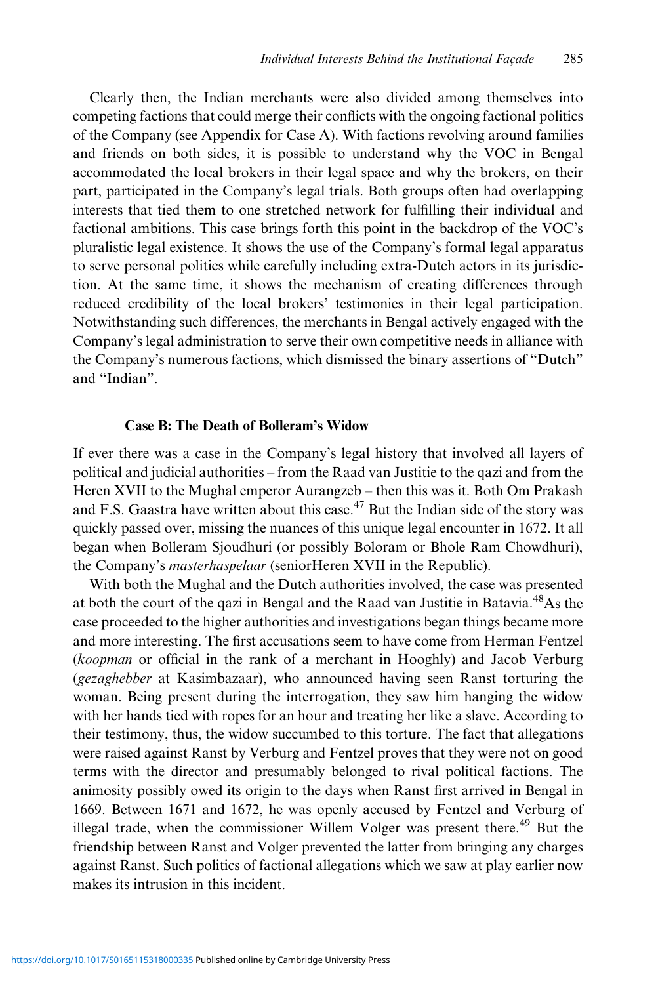Clearly then, the Indian merchants were also divided among themselves into competing factions that could merge their conflicts with the ongoing factional politics of the Company (see Appendix for Case A). With factions revolving around families and friends on both sides, it is possible to understand why the VOC in Bengal accommodated the local brokers in their legal space and why the brokers, on their part, participated in the Company's legal trials. Both groups often had overlapping interests that tied them to one stretched network for fulfilling their individual and factional ambitions. This case brings forth this point in the backdrop of the VOC's pluralistic legal existence. It shows the use of the Company's formal legal apparatus to serve personal politics while carefully including extra-Dutch actors in its jurisdiction. At the same time, it shows the mechanism of creating differences through reduced credibility of the local brokers' testimonies in their legal participation. Notwithstanding such differences, the merchants in Bengal actively engaged with the Company's legal administration to serve their own competitive needs in alliance with the Company's numerous factions, which dismissed the binary assertions of "Dutch" and "Indian".

# Case B: The Death of Bolleram's Widow

If ever there was a case in the Company's legal history that involved all layers of political and judicial authorities – from the Raad van Justitie to the qazi and from the Heren XVII to the Mughal emperor Aurangzeb – then this was it. Both Om Prakash and F.S. Gaastra have written about this case.<sup>47</sup> But the Indian side of the story was quickly passed over, missing the nuances of this unique legal encounter in 1672. It all began when Bolleram Sjoudhuri (or possibly Boloram or Bhole Ram Chowdhuri), the Company's masterhaspelaar (seniorHeren XVII in the Republic).

With both the Mughal and the Dutch authorities involved, the case was presented at both the court of the qazi in Bengal and the Raad van Justitie in Batavia.48As the case proceeded to the higher authorities and investigations began things became more and more interesting. The first accusations seem to have come from Herman Fentzel (koopman or official in the rank of a merchant in Hooghly) and Jacob Verburg (gezaghebber at Kasimbazaar), who announced having seen Ranst torturing the woman. Being present during the interrogation, they saw him hanging the widow with her hands tied with ropes for an hour and treating her like a slave. According to their testimony, thus, the widow succumbed to this torture. The fact that allegations were raised against Ranst by Verburg and Fentzel proves that they were not on good terms with the director and presumably belonged to rival political factions. The animosity possibly owed its origin to the days when Ranst first arrived in Bengal in 1669. Between 1671 and 1672, he was openly accused by Fentzel and Verburg of illegal trade, when the commissioner Willem Volger was present there.<sup>49</sup> But the friendship between Ranst and Volger prevented the latter from bringing any charges against Ranst. Such politics of factional allegations which we saw at play earlier now makes its intrusion in this incident.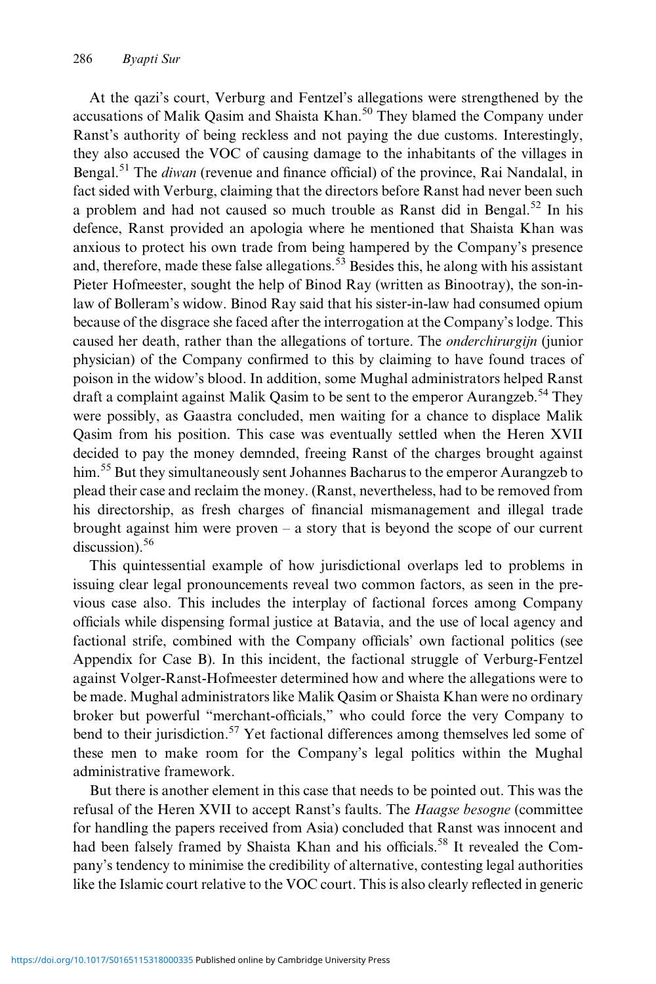At the qazi's court, Verburg and Fentzel's allegations were strengthened by the accusations of Malik Qasim and Shaista Khan.<sup>50</sup> They blamed the Company under Ranst's authority of being reckless and not paying the due customs. Interestingly, they also accused the VOC of causing damage to the inhabitants of the villages in Bengal.<sup>51</sup> The *diwan* (revenue and finance official) of the province, Rai Nandalal, in fact sided with Verburg, claiming that the directors before Ranst had never been such a problem and had not caused so much trouble as Ranst did in Bengal.<sup>52</sup> In his defence, Ranst provided an apologia where he mentioned that Shaista Khan was anxious to protect his own trade from being hampered by the Company's presence and, therefore, made these false allegations.<sup>53</sup> Besides this, he along with his assistant Pieter Hofmeester, sought the help of Binod Ray (written as Binootray), the son-inlaw of Bolleram's widow. Binod Ray said that his sister-in-law had consumed opium because of the disgrace she faced after the interrogation at the Company's lodge. This caused her death, rather than the allegations of torture. The onderchirurgijn (junior physician) of the Company confirmed to this by claiming to have found traces of poison in the widow's blood. In addition, some Mughal administrators helped Ranst draft a complaint against Malik Qasim to be sent to the emperor Aurangzeb.<sup>54</sup> They were possibly, as Gaastra concluded, men waiting for a chance to displace Malik Qasim from his position. This case was eventually settled when the Heren XVII decided to pay the money demnded, freeing Ranst of the charges brought against him.<sup>55</sup> But they simultaneously sent Johannes Bacharus to the emperor Aurangzeb to plead their case and reclaim the money. (Ranst, nevertheless, had to be removed from his directorship, as fresh charges of financial mismanagement and illegal trade brought against him were proven  $-$  a story that is beyond the scope of our current discussion). $56$ 

This quintessential example of how jurisdictional overlaps led to problems in issuing clear legal pronouncements reveal two common factors, as seen in the previous case also. This includes the interplay of factional forces among Company officials while dispensing formal justice at Batavia, and the use of local agency and factional strife, combined with the Company officials' own factional politics (see Appendix for Case B). In this incident, the factional struggle of Verburg-Fentzel against Volger-Ranst-Hofmeester determined how and where the allegations were to be made. Mughal administrators like Malik Qasim or Shaista Khan were no ordinary broker but powerful "merchant-officials," who could force the very Company to bend to their jurisdiction.<sup>57</sup> Yet factional differences among themselves led some of these men to make room for the Company's legal politics within the Mughal administrative framework.

But there is another element in this case that needs to be pointed out. This was the refusal of the Heren XVII to accept Ranst's faults. The Haagse besogne (committee for handling the papers received from Asia) concluded that Ranst was innocent and had been falsely framed by Shaista Khan and his officials.<sup>58</sup> It revealed the Company's tendency to minimise the credibility of alternative, contesting legal authorities like the Islamic court relative to the VOC court. This is also clearly reflected in generic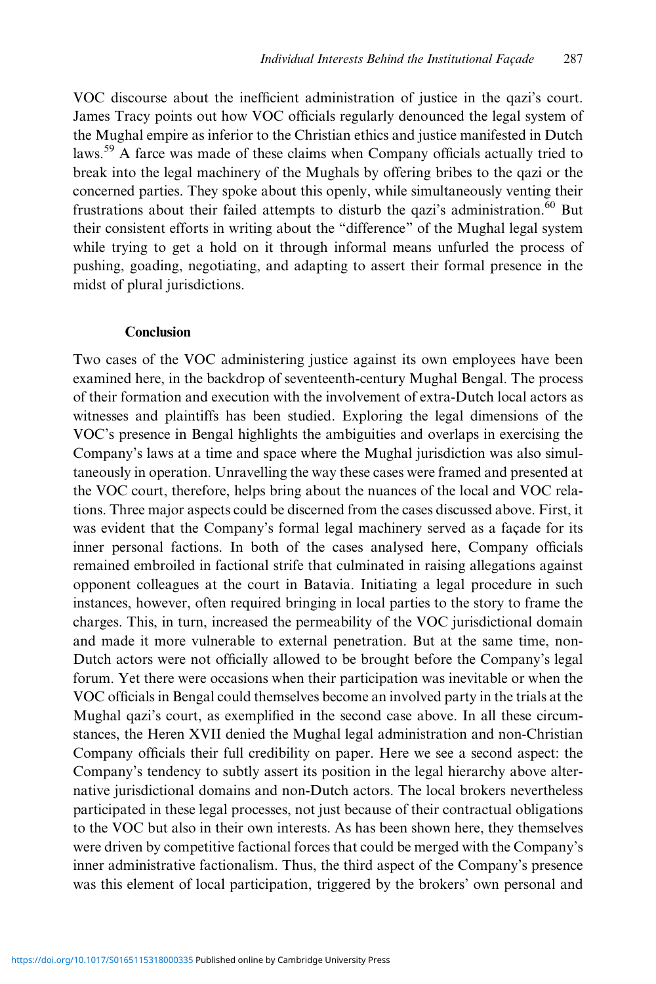VOC discourse about the inefficient administration of justice in the qazi's court. James Tracy points out how VOC officials regularly denounced the legal system of the Mughal empire as inferior to the Christian ethics and justice manifested in Dutch laws.<sup>59</sup> A farce was made of these claims when Company officials actually tried to break into the legal machinery of the Mughals by offering bribes to the qazi or the concerned parties. They spoke about this openly, while simultaneously venting their frustrations about their failed attempts to disturb the qazi's administration.<sup>60</sup> But their consistent efforts in writing about the "difference" of the Mughal legal system while trying to get a hold on it through informal means unfurled the process of pushing, goading, negotiating, and adapting to assert their formal presence in the midst of plural jurisdictions.

# Conclusion

Two cases of the VOC administering justice against its own employees have been examined here, in the backdrop of seventeenth-century Mughal Bengal. The process of their formation and execution with the involvement of extra-Dutch local actors as witnesses and plaintiffs has been studied. Exploring the legal dimensions of the VOC's presence in Bengal highlights the ambiguities and overlaps in exercising the Company's laws at a time and space where the Mughal jurisdiction was also simultaneously in operation. Unravelling the way these cases were framed and presented at the VOC court, therefore, helps bring about the nuances of the local and VOC relations. Three major aspects could be discerned from the cases discussed above. First, it was evident that the Company's formal legal machinery served as a façade for its inner personal factions. In both of the cases analysed here, Company officials remained embroiled in factional strife that culminated in raising allegations against opponent colleagues at the court in Batavia. Initiating a legal procedure in such instances, however, often required bringing in local parties to the story to frame the charges. This, in turn, increased the permeability of the VOC jurisdictional domain and made it more vulnerable to external penetration. But at the same time, non-Dutch actors were not officially allowed to be brought before the Company's legal forum. Yet there were occasions when their participation was inevitable or when the VOC officials in Bengal could themselves become an involved party in the trials at the Mughal qazi's court, as exemplified in the second case above. In all these circumstances, the Heren XVII denied the Mughal legal administration and non-Christian Company officials their full credibility on paper. Here we see a second aspect: the Company's tendency to subtly assert its position in the legal hierarchy above alternative jurisdictional domains and non-Dutch actors. The local brokers nevertheless participated in these legal processes, not just because of their contractual obligations to the VOC but also in their own interests. As has been shown here, they themselves were driven by competitive factional forces that could be merged with the Company's inner administrative factionalism. Thus, the third aspect of the Company's presence was this element of local participation, triggered by the brokers' own personal and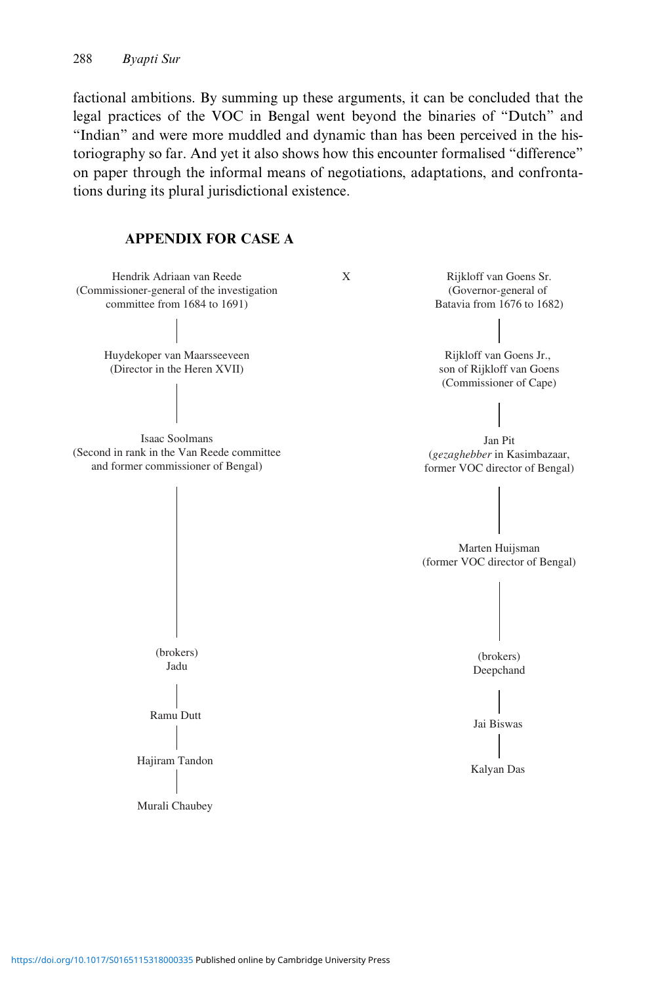factional ambitions. By summing up these arguments, it can be concluded that the legal practices of the VOC in Bengal went beyond the binaries of "Dutch" and "Indian" and were more muddled and dynamic than has been perceived in the historiography so far. And yet it also shows how this encounter formalised "difference" on paper through the informal means of negotiations, adaptations, and confrontations during its plural jurisdictional existence.

# APPENDIX FOR CASE A

Hendrik Adriaan van Reede (Commissioner-general of the investigation committee from 1684 to 1691)

> Huydekoper van Maarsseeveen (Director in the Heren XVII)

Isaac Soolmans (Second in rank in the Van Reede committee and former commissioner of Bengal)

> (brokers) Jadu

Ramu Dutt

Murali Chaubey

X Rijkloff van Goens Sr. (Governor-general of Batavia from 1676 to 1682)

> Rijkloff van Goens Jr., son of Rijkloff van Goens (Commissioner of Cape)

Jan Pit (*gezaghebber* in Kasimbazaar, former VOC director of Bengal)

Marten Huijsman (former VOC director of Bengal)



Hajiram Tandon<br>
|<br>
Kalyan Das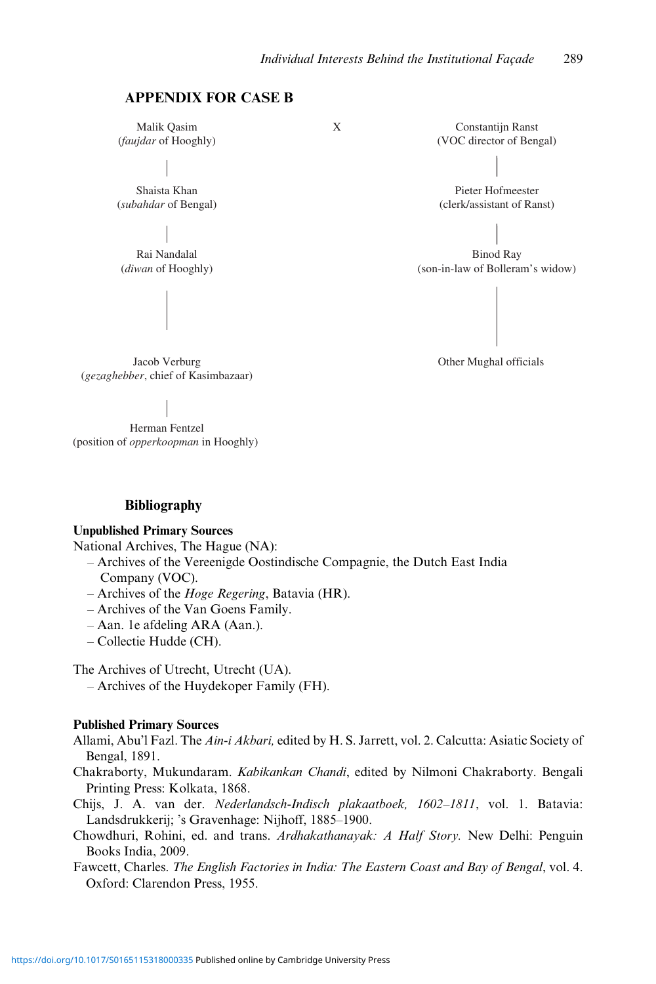X

# APPENDIX FOR CASE B

Malik Qasim (*faujdar* of Hooghly)

Shaista Khan (*subahdar* of Bengal)

Rai Nandalal (*diwan* of Hooghly)

Jacob Verburg (*gezaghebber*, chief of Kasimbazaar)

Herman Fentzel (position of *opperkoopman* in Hooghly)

### Bibliography

### Unpublished Primary Sources

National Archives, The Hague (NA):

- Archives of the Vereenigde Oostindische Compagnie, the Dutch East India Company (VOC).
- Archives of the *Hoge Regering*, Batavia (HR).
- Archives of the Van Goens Family.
- Aan. 1e afdeling ARA (Aan.).
- Collectie Hudde (CH).

The Archives of Utrecht, Utrecht (UA).

– Archives of the Huydekoper Family (FH).

### Published Primary Sources

- Allami, Abu'l Fazl. The Ain-i Akbari, edited by H. S. Jarrett, vol. 2. Calcutta: Asiatic Society of Bengal, 1891.
- Chakraborty, Mukundaram. Kabikankan Chandi, edited by Nilmoni Chakraborty. Bengali Printing Press: Kolkata, 1868.

Chijs, J. A. van der. Nederlandsch-Indisch plakaatboek, 1602–1811, vol. 1. Batavia: Landsdrukkerij; 's Gravenhage: Nijhoff, 1885–1900.

- Chowdhuri, Rohini, ed. and trans. Ardhakathanayak: A Half Story. New Delhi: Penguin Books India, 2009.
- Fawcett, Charles. The English Factories in India: The Eastern Coast and Bay of Bengal, vol. 4. Oxford: Clarendon Press, 1955.



Other Mughal officials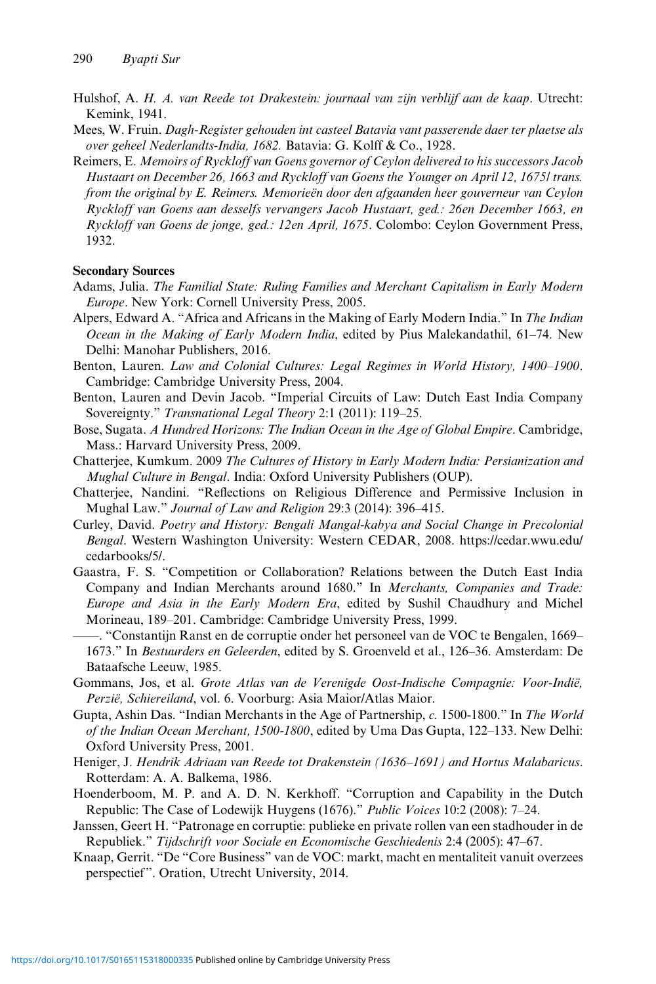- <span id="page-11-0"></span>Hulshof, A. H. A. van Reede tot Drakestein: journaal van zijn verblijf aan de kaap. Utrecht: Kemink, 1941.
- Mees, W. Fruin. Dagh-Register gehouden int casteel Batavia vant passerende daer ter plaetse als over geheel Nederlandts-India, 1682. Batavia: G. Kolff & Co., 1928.
- Reimers, E. Memoirs of Ryckloff van Goens governor of Ceylon delivered to his successors Jacob Hustaart on December 26, 1663 and Ryckloff van Goens the Younger on April 12, 1675/ trans. from the original by E. Reimers. Memorieën door den afgaanden heer gouverneur van Ceylon Ryckloff van Goens aan desselfs vervangers Jacob Hustaart, ged.: 26en December 1663, en Ryckloff van Goens de jonge, ged.: 12en April, 1675. Colombo: Ceylon Government Press, 1932.

# Secondary Sources

- Adams, Julia. The Familial State: Ruling Families and Merchant Capitalism in Early Modern Europe. New York: Cornell University Press, 2005.
- Alpers, Edward A. "Africa and Africans in the Making of Early Modern India." In The Indian Ocean in the Making of Early Modern India, edited by Pius Malekandathil, 61–74. New Delhi: Manohar Publishers, 2016.
- Benton, Lauren. Law and Colonial Cultures: Legal Regimes in World History, 1400–1900. Cambridge: Cambridge University Press, 2004.
- Benton, Lauren and Devin Jacob. "Imperial Circuits of Law: Dutch East India Company Sovereignty." Transnational Legal Theory 2:1 (2011): 119–25.
- Bose, Sugata. A Hundred Horizons: The Indian Ocean in the Age of Global Empire. Cambridge, Mass.: Harvard University Press, 2009.
- Chatterjee, Kumkum. 2009 The Cultures of History in Early Modern India: Persianization and Mughal Culture in Bengal. India: Oxford University Publishers (OUP).
- Chatterjee, Nandini. "Reflections on Religious Difference and Permissive Inclusion in Mughal Law." Journal of Law and Religion 29:3 (2014): 396–415.
- Curley, David. Poetry and History: Bengali Mangal-kabya and Social Change in Precolonial Bengal. Western Washington University: Western CEDAR, 2008. [https://cedar.wwu.edu/](https://cedar.wwu.edu/cedarbooks/5/) [cedarbooks/5/](https://cedar.wwu.edu/cedarbooks/5/).
- Gaastra, F. S. "Competition or Collaboration? Relations between the Dutch East India Company and Indian Merchants around 1680." In Merchants, Companies and Trade: Europe and Asia in the Early Modern Era, edited by Sushil Chaudhury and Michel Morineau, 189–201. Cambridge: Cambridge University Press, 1999.
- ——. "Constantijn Ranst en de corruptie onder het personeel van de VOC te Bengalen, 1669– 1673." In Bestuurders en Geleerden, edited by S. Groenveld et al., 126–36. Amsterdam: De Bataafsche Leeuw, 1985.
- Gommans, Jos, et al. Grote Atlas van de Verenigde Oost-Indische Compagnie: Voor-Indië, Perzië, Schiereiland, vol. 6. Voorburg: Asia Maior/Atlas Maior.
- Gupta, Ashin Das. "Indian Merchants in the Age of Partnership, c. 1500-1800." In The World of the Indian Ocean Merchant, 1500-1800, edited by Uma Das Gupta, 122–133. New Delhi: Oxford University Press, 2001.
- Heniger, J. Hendrik Adriaan van Reede tot Drakenstein (1636–1691) and Hortus Malabaricus. Rotterdam: A. A. Balkema, 1986.
- Hoenderboom, M. P. and A. D. N. Kerkhoff. "Corruption and Capability in the Dutch Republic: The Case of Lodewijk Huygens (1676)." Public Voices 10:2 (2008): 7–24.
- Janssen, Geert H. "Patronage en corruptie: publieke en private rollen van een stadhouder in de Republiek." Tijdschrift voor Sociale en Economische Geschiedenis 2:4 (2005): 47–67.
- Knaap, Gerrit. "De "Core Business" van de VOC: markt, macht en mentaliteit vanuit overzees perspectief". Oration, Utrecht University, 2014.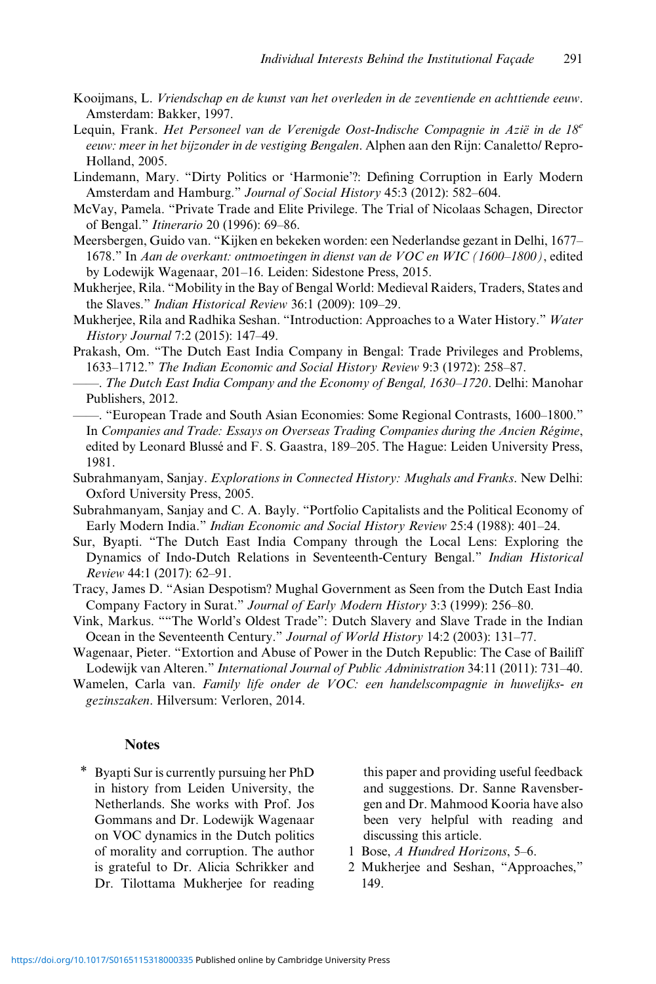- <span id="page-12-0"></span>Kooijmans, L. Vriendschap en de kunst van het overleden in de zeventiende en achttiende eeuw. Amsterdam: Bakker, 1997.
- Lequin, Frank. Het Personeel van de Verenigde Oost-Indische Compagnie in Azië in de 18<sup>e</sup> eeuw: meer in het bijzonder in de vestiging Bengalen. Alphen aan den Rijn: Canaletto/ Repro-Holland, 2005.
- Lindemann, Mary. "Dirty Politics or 'Harmonie'?: Defining Corruption in Early Modern Amsterdam and Hamburg." Journal of Social History 45:3 (2012): 582–604.
- McVay, Pamela. "Private Trade and Elite Privilege. The Trial of Nicolaas Schagen, Director of Bengal." Itinerario 20 (1996): 69–86.
- Meersbergen, Guido van. "Kijken en bekeken worden: een Nederlandse gezant in Delhi, 1677– 1678." In Aan de overkant: ontmoetingen in dienst van de VOC en WIC (1600–1800), edited by Lodewijk Wagenaar, 201–16. Leiden: Sidestone Press, 2015.
- Mukherjee, Rila. "Mobility in the Bay of Bengal World: Medieval Raiders, Traders, States and the Slaves." Indian Historical Review 36:1 (2009): 109–29.
- Mukherjee, Rila and Radhika Seshan. "Introduction: Approaches to a Water History." Water History Journal 7:2 (2015): 147–49.
- Prakash, Om. "The Dutch East India Company in Bengal: Trade Privileges and Problems, 1633–1712." The Indian Economic and Social History Review 9:3 (1972): 258–87.
- ——. The Dutch East India Company and the Economy of Bengal, 1630–1720. Delhi: Manohar Publishers, 2012.
- ——. "European Trade and South Asian Economies: Some Regional Contrasts, 1600–1800." In Companies and Trade: Essays on Overseas Trading Companies during the Ancien Régime, edited by Leonard Blussé and F. S. Gaastra, 189–205. The Hague: Leiden University Press, 1981.
- Subrahmanyam, Sanjay. Explorations in Connected History: Mughals and Franks. New Delhi: Oxford University Press, 2005.
- Subrahmanyam, Sanjay and C. A. Bayly. "Portfolio Capitalists and the Political Economy of Early Modern India." Indian Economic and Social History Review 25:4 (1988): 401–24.
- Sur, Byapti. "The Dutch East India Company through the Local Lens: Exploring the Dynamics of Indo-Dutch Relations in Seventeenth-Century Bengal." Indian Historical Review 44:1 (2017): 62–91.
- Tracy, James D. "Asian Despotism? Mughal Government as Seen from the Dutch East India Company Factory in Surat." Journal of Early Modern History 3:3 (1999): 256–80.
- Vink, Markus. ""The World's Oldest Trade": Dutch Slavery and Slave Trade in the Indian Ocean in the Seventeenth Century." Journal of World History 14:2 (2003): 131–77.
- Wagenaar, Pieter. "Extortion and Abuse of Power in the Dutch Republic: The Case of Bailiff Lodewijk van Alteren." International Journal of Public Administration 34:11 (2011): 731–40.
- Wamelen, Carla van. Family life onder de VOC: een handelscompagnie in huwelijks- en gezinszaken. Hilversum: Verloren, 2014.

# **Notes**

\* Byapti Sur is currently pursuing her PhD in history from Leiden University, the Netherlands. She works with Prof. Jos Gommans and Dr. Lodewijk Wagenaar on VOC dynamics in the Dutch politics of morality and corruption. The author is grateful to Dr. Alicia Schrikker and Dr. Tilottama Mukherjee for reading

this paper and providing useful feedback and suggestions. Dr. Sanne Ravensbergen and Dr. Mahmood Kooria have also been very helpful with reading and discussing this article.

- 1 [Bose,](#page-11-0) A Hundred Horizons, 5–6.
- 2 Mukherjee and Seshan, "Approaches," 149.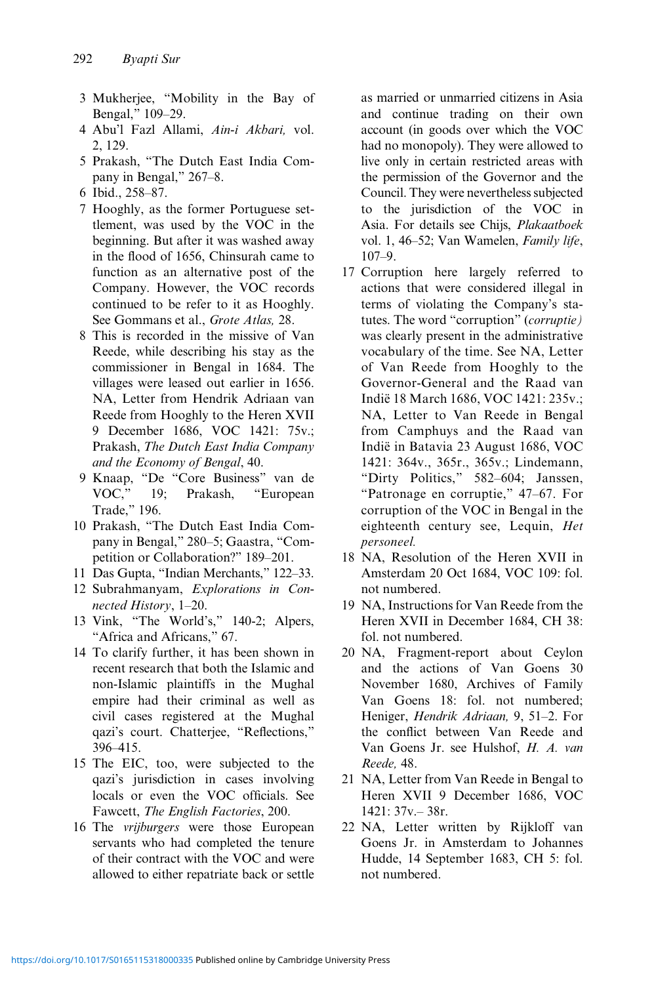- 3 [Mukherjee,](#page-12-0) "Mobility in the Bay of Bengal," 109–29.
- 4 Abu'l Fazl Allami, Ain-i Akbari, vol. 2, 129.
- 5 [Prakash,](#page-12-0) "The Dutch East India Company in Bengal," 267–8.
- 6 Ibid., 258–87.
- 7 Hooghly, as the former Portuguese settlement, was used by the VOC in the beginning. But after it was washed away in the flood of 1656, Chinsurah came to function as an alternative post of the Company. However, the VOC records continued to be refer to it as Hooghly. See [Gommans](#page-11-0) et al., Grote Atlas, 28.
- 8 This is recorded in the missive of Van Reede, while describing his stay as the commissioner in Bengal in 1684. The villages were leased out earlier in 1656. NA, Letter from Hendrik Adriaan van Reede from Hooghly to the Heren XVII 9 December 1686, VOC 1421: 75v.; [Prakash,](#page-12-0) The Dutch East India Company and the Economy of Bengal, 40.
- 9 [Knaap,](#page-11-0) "De "Core Business" van de VOC," 19; [Prakash,](#page-12-0) "European Trade," 196.
- 10 [Prakash,](#page-12-0) "The Dutch East India Company in Bengal," 280–5; [Gaastra,](#page-11-0) "Competition or Collaboration?" 189–201.
- 11 Das [Gupta,](#page-11-0) "Indian Merchants," 122–33.
- 12 [Subrahmanyam](#page-12-0), Explorations in Connected History, 1–20.
- 13 [Vink](#page-12-0), "The World's," 140-2; [Alpers,](#page-11-0) "Africa and Africans," 67.
- 14 To clarify further, it has been shown in recent research that both the Islamic and non-Islamic plaintiffs in the Mughal empire had their criminal as well as civil cases registered at the Mughal qazi's court. [Chatterjee,](#page-11-0) "Reflections," 396–415.
- 15 The EIC, too, were subjected to the qazi's jurisdiction in cases involving locals or even the VOC officials. See Fawcett, The English Factories, 200.
- 16 The vrijburgers were those European servants who had completed the tenure of their contract with the VOC and were allowed to either repatriate back or settle

as married or unmarried citizens in Asia and continue trading on their own account (in goods over which the VOC had no monopoly). They were allowed to live only in certain restricted areas with the permission of the Governor and the Council. They were nevertheless subjected to the jurisdiction of the VOC in Asia. For details see Chijs, Plakaatboek vol. 1, 46–52; Van [Wamelen](#page-12-0), Family life, 107–9.

- 17 Corruption here largely referred to actions that were considered illegal in terms of violating the Company's statutes. The word "corruption" (corruptie) was clearly present in the administrative vocabulary of the time. See NA, Letter of Van Reede from Hooghly to the Governor-General and the Raad van Indië 18 March 1686, VOC 1421: 235v.; NA, Letter to Van Reede in Bengal from Camphuys and the Raad van Indië in Batavia 23 August 1686, VOC 1421: 364v., 365r., 365v.; [Lindemann,](#page-12-0) "Dirty Politics," 582–604; [Janssen,](#page-11-0) "Patronage en corruptie," 47–67. For corruption of the VOC in Bengal in the eighteenth century see, [Lequin](#page-12-0), Het personeel.
- 18 NA, Resolution of the Heren XVII in Amsterdam 20 Oct 1684, VOC 109: fol. not numbered.
- 19 NA, Instructions for Van Reede from the Heren XVII in December 1684, CH 38: fol. not numbered.
- 20 NA, Fragment-report about Ceylon and the actions of Van Goens 30 November 1680, Archives of Family Van Goens 18: fol. not numbered; [Heniger](#page-11-0), Hendrik Adriaan, 9, 51–2. For the conflict between Van Reede and Van Goens Jr. see Hulshof, H. A. van Reede, 48.
- 21 NA, Letter from Van Reede in Bengal to Heren XVII 9 December 1686, VOC 1421: 37v.– 38r.
- 22 NA, Letter written by Rijkloff van Goens Jr. in Amsterdam to Johannes Hudde, 14 September 1683, CH 5: fol. not numbered.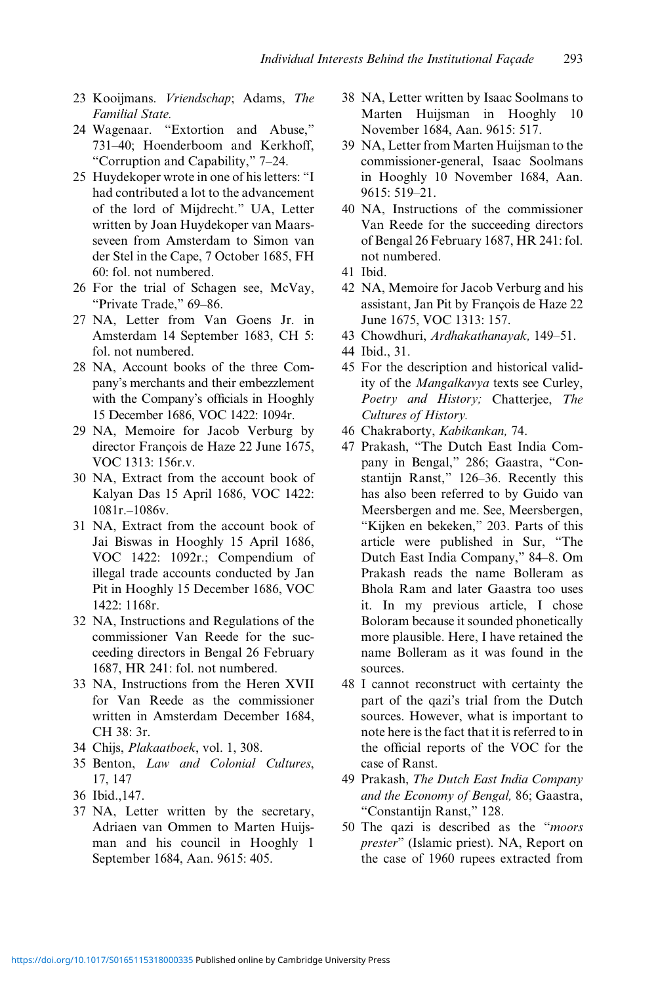- 23 [Kooijmans.](#page-12-0) Vriendschap: Adams. The Familial State.
- 24 [Wagenaar.](#page-12-0) "Extortion and Abuse," 731–40; [Hoenderboom and Kerkhoff,](#page-11-0) "Corruption and Capability," 7–24.
- 25 Huydekoper wrote in one of his letters: "I had contributed a lot to the advancement of the lord of Mijdrecht." UA, Letter written by Joan Huydekoper van Maarsseveen from Amsterdam to Simon van der Stel in the Cape, 7 October 1685, FH 60: fol. not numbered.
- 26 For the trial of Schagen see, [McVay,](#page-12-0) "Private Trade," 69–86.
- 27 NA, Letter from Van Goens Jr. in Amsterdam 14 September 1683, CH 5: fol. not numbered.
- 28 NA, Account books of the three Company's merchants and their embezzlement with the Company's officials in Hooghly 15 December 1686, VOC 1422: 1094r.
- 29 NA, Memoire for Jacob Verburg by director François de Haze 22 June 1675, VOC 1313: 156r.v.
- 30 NA, Extract from the account book of Kalyan Das 15 April 1686, VOC 1422: 1081r.–1086v.
- 31 NA, Extract from the account book of Jai Biswas in Hooghly 15 April 1686, VOC 1422: 1092r.; Compendium of illegal trade accounts conducted by Jan Pit in Hooghly 15 December 1686, VOC 1422: 1168r.
- 32 NA, Instructions and Regulations of the commissioner Van Reede for the succeeding directors in Bengal 26 February 1687, HR 241: fol. not numbered.
- 33 NA, Instructions from the Heren XVII for Van Reede as the commissioner written in Amsterdam December 1684, CH 38: 3r.
- 34 Chijs, Plakaatboek, vol. 1, 308.
- 35 [Benton](#page-11-0), Law and Colonial Cultures, 17, 147
- 36 Ibid.,147.
- 37 NA, Letter written by the secretary, Adriaen van Ommen to Marten Huijsman and his council in Hooghly 1 September 1684, Aan. 9615: 405.
- 38 NA, Letter written by Isaac Soolmans to Marten Huijsman in Hooghly 10 November 1684, Aan. 9615: 517.
- 39 NA, Letter from Marten Huijsman to the commissioner-general, Isaac Soolmans in Hooghly 10 November 1684, Aan. 9615: 519–21.
- 40 NA, Instructions of the commissioner Van Reede for the succeeding directors of Bengal 26 February 1687, HR 241: fol. not numbered.
- 41 Ibid.
- 42 NA, Memoire for Jacob Verburg and his assistant, Jan Pit by François de Haze 22 June 1675, VOC 1313: 157.
- 43 Chowdhuri, Ardhakathanayak, 149–51.
- 44 Ibid., 31.
- 45 For the description and historical validity of the Mangalkavya texts see [Curley,](#page-11-0) Poetry and History; [Chatterjee](#page-11-0), The Cultures of History.
- 46 Chakraborty, Kabikankan, 74.
- 47 [Prakash](#page-12-0), "The Dutch East India Company in Bengal," 286; [Gaastra,](#page-11-0) "Constantijn Ranst," 126–36. Recently this has also been referred to by Guido van [Meersbergen](#page-12-0) and me. See, [Meersbergen,](#page-12-0) "Kijken en bekeken," 203. Parts of this article were published in [Sur,](#page-12-0) "The Dutch East India Company," 84–8. Om Prakash reads the name Bolleram as Bhola Ram and later Gaastra too uses it. In my previous article, I chose Boloram because it sounded phonetically more plausible. Here, I have retained the name Bolleram as it was found in the sources.
- 48 I cannot reconstruct with certainty the part of the qazi's trial from the Dutch sources. However, what is important to note here is the fact that it is referred to in the official reports of the VOC for the case of Ranst.
- 49 [Prakash](#page-12-0), The Dutch East India Company and the Economy of Bengal, 86; [Gaastra,](#page-11-0) "Constantijn Ranst," 128.
- 50 The qazi is described as the "moors prester" (Islamic priest). NA, Report on the case of 1960 rupees extracted from